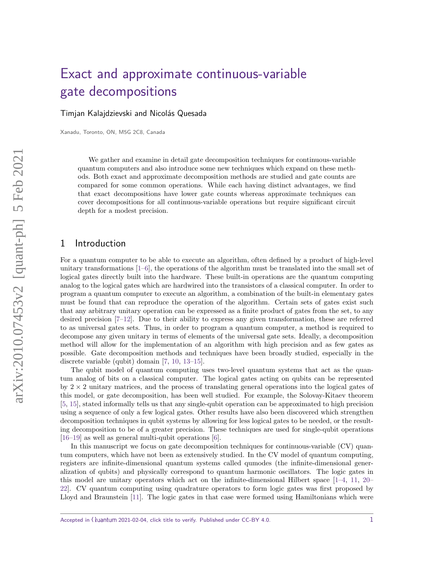# [Exact and approximate continuous-variable](https://quantum-journal.org/?s=Exact%20and%20approximate%20continuous-variable%20\newline%20gate%20decompositions&reason=title-click) [gate decompositions](https://quantum-journal.org/?s=Exact%20and%20approximate%20continuous-variable%20\newline%20gate%20decompositions&reason=title-click)

Timjan Kalajdzievski and Nicolás Quesada

Xanadu, Toronto, ON, M5G 2C8, Canada

We gather and examine in detail gate decomposition techniques for continuous-variable quantum computers and also introduce some new techniques which expand on these methods. Both exact and approximate decomposition methods are studied and gate counts are compared for some common operations. While each having distinct advantages, we find that exact decompositions have lower gate counts whereas approximate techniques can cover decompositions for all continuous-variable operations but require significant circuit depth for a modest precision.

## 1 Introduction

For a quantum computer to be able to execute an algorithm, often defined by a product of high-level unitary transformations  $[1-6]$  $[1-6]$ , the operations of the algorithm must be translated into the small set of logical gates directly built into the hardware. These built-in operations are the quantum computing analog to the logical gates which are hardwired into the transistors of a classical computer. In order to program a quantum computer to execute an algorithm, a combination of the built-in elementary gates must be found that can reproduce the operation of the algorithm. Certain sets of gates exist such that any arbitrary unitary operation can be expressed as a finite product of gates from the set, to any desired precision [\[7](#page-13-2)[–12\]](#page-14-0). Due to their ability to express any given transformation, these are referred to as universal gates sets. Thus, in order to program a quantum computer, a method is required to decompose any given unitary in terms of elements of the universal gate sets. Ideally, a decomposition method will allow for the implementation of an algorithm with high precision and as few gates as possible. Gate decomposition methods and techniques have been broadly studied, especially in the discrete variable (qubit) domain [\[7,](#page-13-2) [10,](#page-13-3) [13](#page-14-1)[–15\]](#page-14-2).

The qubit model of quantum computing uses two-level quantum systems that act as the quantum analog of bits on a classical computer. The logical gates acting on qubits can be represented by  $2 \times 2$  unitary matrices, and the process of translating general operations into the logical gates of this model, or gate decomposition, has been well studied. For example, the Solovay-Kitaev theorem [\[5,](#page-13-4) [15\]](#page-14-2), stated informally tells us that any single-qubit operation can be approximated to high precision using a sequence of only a few logical gates. Other results have also been discovered which strengthen decomposition techniques in qubit systems by allowing for less logical gates to be needed, or the resulting decomposition to be of a greater precision. These techniques are used for single-qubit operations [\[16–](#page-14-3)[19\]](#page-14-4) as well as general multi-qubit operations [\[6\]](#page-13-1).

In this manuscript we focus on gate decomposition techniques for continuous-variable (CV) quantum computers, which have not been as extensively studied. In the CV model of quantum computing, registers are infinite-dimensional quantum systems called qumodes (the infinite-dimensional generalization of qubits) and physically correspond to quantum harmonic oscillators. The logic gates in this model are unitary operators which act on the infinite-dimensional Hilbert space [\[1–](#page-13-0)[4,](#page-13-5) [11,](#page-13-6) [20–](#page-14-5) [22\]](#page-14-6). CV quantum computing using quadrature operators to form logic gates was first proposed by Lloyd and Braunstein [\[11\]](#page-13-6). The logic gates in that case were formed using Hamiltonians which were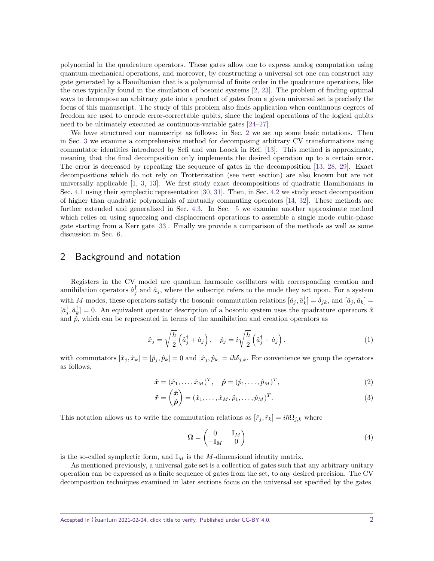polynomial in the quadrature operators. These gates allow one to express analog computation using quantum-mechanical operations, and moreover, by constructing a universal set one can construct any gate generated by a Hamiltonian that is a polynomial of finite order in the quadrature operations, like the ones typically found in the simulation of bosonic systems [\[2,](#page-13-7) [23\]](#page-14-7). The problem of finding optimal ways to decompose an arbitrary gate into a product of gates from a given universal set is precisely the focus of this manuscript. The study of this problem also finds application when continuous degrees of freedom are used to encode error-correctable qubits, since the logical operations of the logical qubits need to be ultimately executed as continuous-variable gates [\[24–](#page-14-8)[27\]](#page-14-9).

We have structured our manuscript as follows: in Sec. [2](#page-1-0) we set up some basic notations. Then in Sec. [3](#page-3-0) we examine a comprehensive method for decomposing arbitrary CV transformations using commutator identities introduced by Sefi and van Loock in Ref. [\[13\]](#page-14-1). This method is approximate, meaning that the final decomposition only implements the desired operation up to a certain error. The error is decreased by repeating the sequence of gates in the decomposition [\[13,](#page-14-1) [28,](#page-14-10) [29\]](#page-14-11). Exact decompositions which do not rely on Trotterization (see next section) are also known but are not universally applicable [\[1,](#page-13-0) [3,](#page-13-8) [13\]](#page-14-1). We first study exact decompositions of quadratic Hamiltonians in Sec. [4.1](#page-5-0) using their symplectic representation [\[30,](#page-14-12) [31\]](#page-14-13). Then, in Sec. [4.2](#page-7-0) we study exact decomposition of higher than quadratic polynomials of mutually commuting operators [\[14,](#page-14-14) [32\]](#page-14-15). These methods are further extended and generalized in Sec. [4.3.](#page-9-0) In Sec. [5](#page-10-0) we examine another approximate method which relies on using squeezing and displacement operations to assemble a single mode cubic-phase gate starting from a Kerr gate [\[33\]](#page-15-0). Finally we provide a comparison of the methods as well as some discussion in Sec. [6.](#page-12-0)

## <span id="page-1-0"></span>2 Background and notation

Registers in the CV model are quantum harmonic oscillators with corresponding creation and annihilation operators  $\hat{a}_j^{\dagger}$  and  $\hat{a}_j$ , where the subscript refers to the mode they act upon. For a system with *M* modes, these operators satisfy the bosonic commutation relations  $[\hat{a}_j, \hat{a}_k^{\dagger}] = \delta_{jk}$ , and  $[\hat{a}_j, \hat{a}_k] =$  $[\hat{a}^{\dagger}_{j}, \hat{a}^{\dagger}_{k}] = 0$ . An equivalent operator description of a bosonic system uses the quadrature operators  $\hat{x}$ and  $\hat{p}$ , which can be represented in terms of the annihilation and creation operators as

$$
\hat{x}_j = \sqrt{\frac{\hbar}{2}} \left( \hat{a}_j^{\dagger} + \hat{a}_j \right), \quad \hat{p}_j = i \sqrt{\frac{\hbar}{2}} \left( \hat{a}_j^{\dagger} - \hat{a}_j \right), \tag{1}
$$

with commutators  $[\hat{x}_j, \hat{x}_k] = [\hat{p}_j, \hat{p}_k] = 0$  and  $[\hat{x}_j, \hat{p}_k] = i\hbar \delta_{j,k}$ . For convenience we group the operators as follows,

$$
\hat{\boldsymbol{x}} = (\hat{x}_1, \dots, \hat{x}_M)^T, \quad \hat{\boldsymbol{p}} = (\hat{p}_1, \dots, \hat{p}_M)^T,
$$
\n(2)

$$
\hat{\boldsymbol{r}} = \begin{pmatrix} \hat{\boldsymbol{x}} \\ \hat{\boldsymbol{p}} \end{pmatrix} = (\hat{x}_1, \dots, \hat{x}_M, \hat{p}_1, \dots, \hat{p}_M)^T.
$$
\n(3)

This notation allows us to write the commutation relations as  $[\hat{r}_j, \hat{r}_k] = i\hbar\Omega_{j,k}$  where

<span id="page-1-2"></span>
$$
\Omega = \begin{pmatrix} 0 & \mathbb{I}_M \\ -\mathbb{I}_M & 0 \end{pmatrix} \tag{4}
$$

is the so-called symplectic form, and  $\mathbb{I}_M$  is the *M*-dimensional identity matrix.

<span id="page-1-1"></span>As mentioned previously, a universal gate set is a collection of gates such that any arbitrary unitary operation can be expressed as a finite sequence of gates from the set, to any desired precision. The CV decomposition techniques examined in later sections focus on the universal set specified by the gates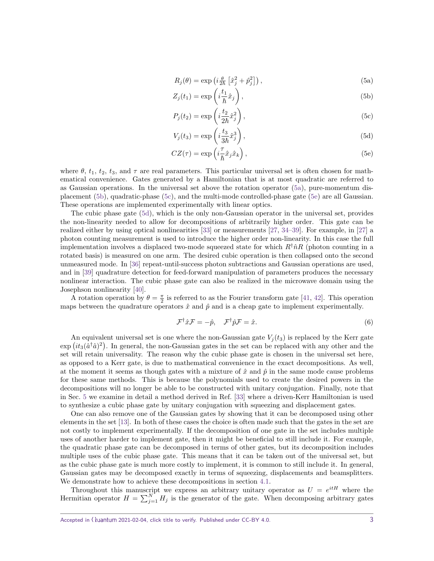<span id="page-2-1"></span><span id="page-2-0"></span>
$$
R_j(\theta) = \exp\left(i\frac{\theta}{2\hbar} \left[\hat{x}_j^2 + \hat{p}_j^2\right]\right),\tag{5a}
$$

$$
Z_j(t_1) = \exp\left(i\frac{t_1}{\hbar}\hat{x}_j\right),\tag{5b}
$$

<span id="page-2-2"></span>
$$
P_j(t_2) = \exp\left(i\frac{t_2}{2\hbar}\hat{x}_j^2\right),\tag{5c}
$$

<span id="page-2-4"></span><span id="page-2-3"></span>
$$
V_j(t_3) = \exp\left(i\frac{t_3}{3\hbar}\hat{x}_j^3\right),\tag{5d}
$$

$$
CZ(\tau) = \exp\left(i\frac{\tau}{\hbar}\hat{x}_j\hat{x}_k\right),\tag{5e}
$$

where  $\theta$ ,  $t_1$ ,  $t_2$ ,  $t_3$ , and  $\tau$  are real parameters. This particular universal set is often chosen for mathematical convenience. Gates generated by a Hamiltonian that is at most quadratic are referred to as Gaussian operations. In the universal set above the rotation operator [\(5a\)](#page-2-0), pure-momentum displacement [\(5b\)](#page-2-1), quadratic-phase [\(5c\)](#page-2-2), and the multi-mode controlled-phase gate [\(5e\)](#page-2-3) are all Gaussian. These operations are implemented experimentally with linear optics.

The cubic phase gate [\(5d\)](#page-2-4), which is the only non-Gaussian operator in the universal set, provides the non-linearity needed to allow for decompositions of arbitrarily higher order. This gate can be realized either by using optical nonlinearities [\[33\]](#page-15-0) or measurements [\[27,](#page-14-9) [34](#page-15-1)[–39\]](#page-15-2). For example, in [\[27\]](#page-14-9) a photon counting measurement is used to introduce the higher order non-linearity. In this case the full implementation involves a displaced two-mode squeezed state for which  $R^{\dagger} \hat{n}R$  (photon counting in a rotated basis) is measured on one arm. The desired cubic operation is then collapsed onto the second unmeasured mode. In [\[36\]](#page-15-3) repeat-until-success photon subtractions and Gaussian operations are used, and in [\[39\]](#page-15-2) quadrature detection for feed-forward manipulation of parameters produces the necessary nonlinear interaction. The cubic phase gate can also be realized in the microwave domain using the Josephson nonlinearity [\[40\]](#page-15-4).

A rotation operation by  $\theta = \frac{\pi}{2}$  is referred to as the Fourier transform gate [\[41,](#page-15-5) [42\]](#page-15-6). This operation maps between the quadrature operators  $\hat{x}$  and  $\hat{p}$  and is a cheap gate to implement experimentally.

$$
\mathcal{F}^{\dagger}\hat{x}\mathcal{F} = -\hat{p}, \quad \mathcal{F}^{\dagger}\hat{p}\mathcal{F} = \hat{x}.\tag{6}
$$

An equivalent universal set is one where the non-Gaussian gate  $V_i(t_3)$  is replaced by the Kerr gate  $\exp\left(it_3(\hat{a}^\dagger\hat{a})^2\right)$ . In general, the non-Gaussian gates in the set can be replaced with any other and the set will retain universality. The reason why the cubic phase gate is chosen in the universal set here, as opposed to a Kerr gate, is due to mathematical convenience in the exact decompositions. As well, at the moment it seems as though gates with a mixture of  $\hat{x}$  and  $\hat{p}$  in the same mode cause problems for these same methods. This is because the polynomials used to create the desired powers in the decompositions will no longer be able to be constructed with unitary conjugation. Finally, note that in Sec. [5](#page-10-0) we examine in detail a method derived in Ref. [\[33\]](#page-15-0) where a driven-Kerr Hamiltonian is used to synthesize a cubic phase gate by unitary conjugation with squeezing and displacement gates.

One can also remove one of the Gaussian gates by showing that it can be decomposed using other elements in the set [\[13\]](#page-14-1). In both of these cases the choice is often made such that the gates in the set are not costly to implement experimentally. If the decomposition of one gate in the set includes multiple uses of another harder to implement gate, then it might be beneficial to still include it. For example, the quadratic phase gate can be decomposed in terms of other gates, but its decomposition includes multiple uses of the cubic phase gate. This means that it can be taken out of the universal set, but as the cubic phase gate is much more costly to implement, it is common to still include it. In general, Gaussian gates may be decomposed exactly in terms of squeezing, displacements and beamsplitters. We demonstrate how to achieve these decompositions in section [4.1.](#page-5-0)

Throughout this manuscript we express an arbitrary unitary operator as  $U = e^{itH}$  where the Hermitian operator  $H = \sum_{j=1}^{N} H_j$  is the generator of the gate. When decomposing arbitrary gates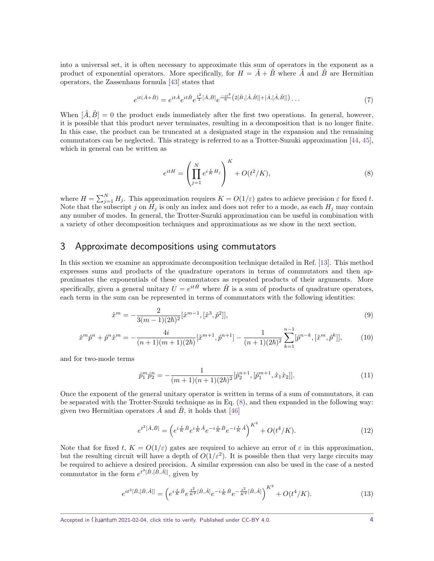into a universal set, it is often necessary to approximate this sum of operators in the exponent as a product of exponential operators. More specifically, for  $H = \hat{A} + \hat{B}$  where  $\hat{A}$  and  $\hat{B}$  are Hermitian operators, the Zassenhaus formula [\[43\]](#page-15-7) states that

$$
e^{it(\hat{A}+\hat{B})} = e^{it\hat{A}}e^{it\hat{B}}e^{\frac{t^2}{2}[\hat{A},\hat{B}]}e^{\frac{-it^3}{6}(2[\hat{B},[\hat{A},\hat{B}]]+[\hat{A},[\hat{A},\hat{B}]])}\dots
$$
\n(7)

When  $[\hat{A}, \hat{B}] = 0$  the product ends immediately after the first two operations. In general, however, it is possible that this product never terminates, resulting in a decomposition that is no longer finite. In this case, the product can be truncated at a designated stage in the expansion and the remaining commutators can be neglected. This strategy is referred to as a Trotter-Suzuki approximation [\[44,](#page-15-8) [45\]](#page-15-9), which in general can be written as

<span id="page-3-1"></span>
$$
e^{itH} = \left(\prod_{j=1}^{N} e^{i\frac{t}{K}H_j}\right)^K + O(t^2/K),\tag{8}
$$

where  $H = \sum_{j=1}^{N} H_j$ . This approximation requires  $K = O(1/\varepsilon)$  gates to achieve precision  $\varepsilon$  for fixed *t*. Note that the subscript  $j$  on  $H_j$  is only an index and does not refer to a mode, as each  $H_j$  may contain any number of modes. In general, the Trotter-Suzuki approximation can be useful in combination with a variety of other decomposition techniques and approximations as we show in the next section.

## <span id="page-3-0"></span>3 Approximate decompositions using commutators

In this section we examine an approximate decomposition technique detailed in Ref. [\[13\]](#page-14-1). This method expresses sums and products of the quadrature operators in terms of commutators and then approximates the exponentials of these commutators as repeated products of their arguments. More specifically, given a general unitary  $U = e^{it\hat{H}}$  where  $\hat{H}$  is a sum of products of quadrature operators, each term in the sum can be represented in terms of commutators with the following identities:

$$
\hat{x}^m = -\frac{2}{3(m-1)(2\hbar)^2} [\hat{x}^{m-1}, [\hat{x}^3, \hat{p}^2]],\tag{9}
$$

$$
\hat{x}^m \hat{p}^n + \hat{p}^n \hat{x}^m = -\frac{4i}{(n+1)(m+1)(2\hbar)} [\hat{x}^{m+1}, \hat{p}^{n+1}] - \frac{1}{(n+1)(2\hbar)^2} \sum_{k=1}^{n-1} [\hat{p}^{n-k}, [\hat{x}^m, \hat{p}^k]],\tag{10}
$$

and for two-mode terms

<span id="page-3-4"></span><span id="page-3-2"></span>
$$
\hat{p}_1^m \hat{p}_2^n = -\frac{1}{(m+1)(n+1)(2\hbar)^2} [\hat{p}_2^{n+1}, [\hat{p}_1^{m+1}, \hat{x}_1 \hat{x}_2]]. \tag{11}
$$

Once the exponent of the general unitary operator is written in terms of a sum of commutators, it can be separated with the Trotter-Suzuki technique as in Eq. [\(8\)](#page-3-1), and then expanded in the following way: given two Hermitian operators  $\tilde{A}$  and  $\tilde{B}$ , it holds that [\[46\]](#page-15-10)

<span id="page-3-5"></span><span id="page-3-3"></span>
$$
e^{t^2[\hat{A},\hat{B}]} = \left(e^{i\frac{t}{K}\hat{B}}e^{i\frac{t}{K}\hat{A}}e^{-i\frac{t}{K}\hat{B}}e^{-i\frac{t}{K}\hat{A}}\right)^{K^2} + O(t^4/K). \tag{12}
$$

Note that for fixed *t*,  $K = O(1/\varepsilon)$  gates are required to achieve an error of  $\varepsilon$  in this approximation, but the resulting circuit will have a depth of  $O(1/\varepsilon^2)$ . It is possible then that very large circuits may be required to achieve a desired precision. A similar expression can also be used in the case of a nested commutator in the form  $e^{t^3[\hat{B}, \hat{B}, \hat{A}]]}$ , given by

$$
e^{it^3[\hat{B},[\hat{B},\hat{A}]]} = \left(e^{i\frac{t}{K}\hat{B}}e^{\frac{t^2}{K^2}[\hat{B},\hat{A}]}e^{-i\frac{t}{K}\hat{B}}e^{-\frac{t^2}{K^2}[\hat{B},\hat{A}]}\right)^{K^2} + O(t^4/K). \tag{13}
$$

Accepted in ( )uantum 2021-02-04, click title to verify. Published under CC-BY 4.0.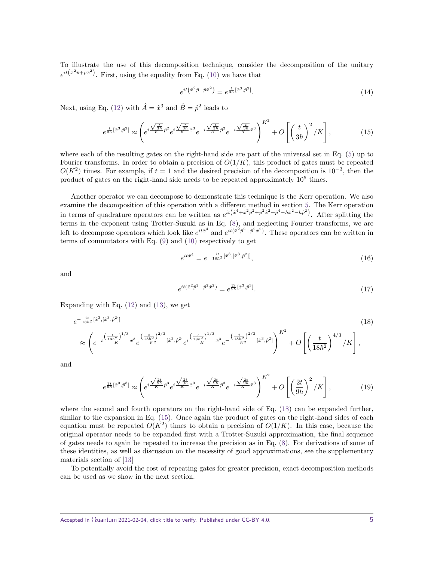To illustrate the use of this decomposition technique, consider the decomposition of the unitary  $e^{it(x^2\hat{p}+\hat{p}x^2)}$ . First, using the equality from Eq. [\(10\)](#page-3-2) we have that

<span id="page-4-1"></span>
$$
e^{it(\hat{x}^2\hat{p}+\hat{p}\hat{x}^2)} = e^{\frac{t}{3\hbar}[\hat{x}^3,\hat{p}^2]}.
$$
\n(14)

Next, using Eq. [\(12\)](#page-3-3) with  $\hat{A} = \hat{x}^3$  and  $\hat{B} = \hat{p}^2$  leads to

$$
e^{\frac{t}{3\hbar}[\hat{x}^{3},\hat{p}^{2}]} \approx \left(e^{i\frac{\sqrt{\frac{t}{3\hbar}}}{K}\hat{p}^{2}}e^{i\frac{\sqrt{\frac{t}{3\hbar}}}{K}\hat{x}^{3}}e^{-i\frac{\sqrt{\frac{t}{3\hbar}}}{K}\hat{p}^{2}}e^{-i\frac{\sqrt{\frac{t}{3\hbar}}}{K}\hat{x}^{3}}\right)^{K^{2}} + O\left[\left(\frac{t}{3\hbar}\right)^{2}/K\right],
$$
\n(15)

where each of the resulting gates on the right-hand side are part of the universal set in Eq. [\(5\)](#page-1-1) up to Fourier transforms. In order to obtain a precision of  $O(1/K)$ , this product of gates must be repeated  $O(K^2)$  times. For example, if  $t = 1$  and the desired precision of the decomposition is 10<sup>-3</sup>, then the product of gates on the right-hand side needs to be repeated approximately  $10^5$  times.

Another operator we can decompose to demonstrate this technique is the Kerr operation. We also examine the decomposition of this operation with a different method in section [5.](#page-10-0) The Kerr operation in terms of quadrature operators can be written as  $e^{it(x^4 + \hat{x}^2 \hat{p}^2 + \hat{p}^2 \hat{x}^2 + \hat{p}^4 - \hbar \hat{x}^2 - \hbar \hat{p}^2)}$ . After splitting the terms in the exponent using Trotter-Suzuki as in Eq. [\(8\)](#page-3-1), and neglecting Fourier transforms, we are left to decompose operators which look like  $e^{it\hat{x}^4}$  and  $e^{it(\hat{x}^2\hat{p}^2+\hat{p}^2\hat{x}^2)}$ . These operators can be written in terms of commutators with Eq. [\(9\)](#page-3-4) and [\(10\)](#page-3-2) respectively to get

$$
e^{it\hat{x}^4} = e^{-\frac{it}{18\hbar^2}[\hat{x}^3, [\hat{x}^3, \hat{p}^2]]},\tag{16}
$$

and

<span id="page-4-0"></span>
$$
e^{it(\hat{x}^2\hat{p}^2 + \hat{p}^2\hat{x}^2)} = e^{\frac{2t}{9\hbar}[\hat{x}^3, \hat{p}^3]}.
$$
\n(17)

Expanding with Eq.  $(12)$  and  $(13)$ , we get

$$
e^{-\frac{it}{18\hbar^{2}}[\hat{x}^{3},[\hat{x}^{3},\hat{p}^{2}]]}\n\approx \left(e^{-i\frac{\left(\frac{t}{18\hbar^{2}}\right)^{1/3}}{\hbar^{2}}\hat{x}^{3}}e^{\frac{\left(\frac{t}{18\hbar^{2}}\right)^{2/3}}{\kappa^{2}}[\hat{x}^{3},\hat{p}^{2}] }e^{i\frac{\left(\frac{t}{18\hbar^{2}}\right)^{1/3}}{\hbar^{2}}\hat{x}^{3}}e^{-\frac{\left(\frac{t}{18\hbar^{2}}\right)^{2/3}}{\kappa^{2}}[\hat{x}^{3},\hat{p}^{2}]}\right)^{K^{2}} + O\left[\left(\frac{t}{18\hbar^{2}}\right)^{4/3}/K\right],
$$
\n(18)

and

$$
e^{\frac{2t}{9\hbar}[\hat{x}^3,\hat{p}^3]} \approx \left(e^{i\frac{\sqrt{\frac{2t}{9\hbar}}}{K}\hat{p}^3}e^{i\frac{\sqrt{\frac{2t}{9\hbar}}}{K}\hat{x}^3}e^{-i\frac{\sqrt{\frac{2t}{9\hbar}}}{K}\hat{p}^3}e^{-i\frac{\sqrt{\frac{2t}{9\hbar}}}{K}\hat{x}^3}\right)^{K^2} + O\left[\left(\frac{2t}{9\hbar}\right)^2/K\right],\tag{19}
$$

where the second and fourth operators on the right-hand side of Eq. [\(18\)](#page-4-0) can be expanded further, similar to the expansion in Eq.  $(15)$ . Once again the product of gates on the right-hand sides of each equation must be repeated  $O(K^2)$  times to obtain a precision of  $O(1/K)$ . In this case, because the original operator needs to be expanded first with a Trotter-Suzuki approximation, the final sequence of gates needs to again be repeated to increase the precision as in Eq. [\(8\)](#page-3-1). For derivations of some of these identities, as well as discussion on the necessity of good approximations, see the supplementary materials section of [\[13\]](#page-14-1)

To potentially avoid the cost of repeating gates for greater precision, exact decomposition methods can be used as we show in the next section.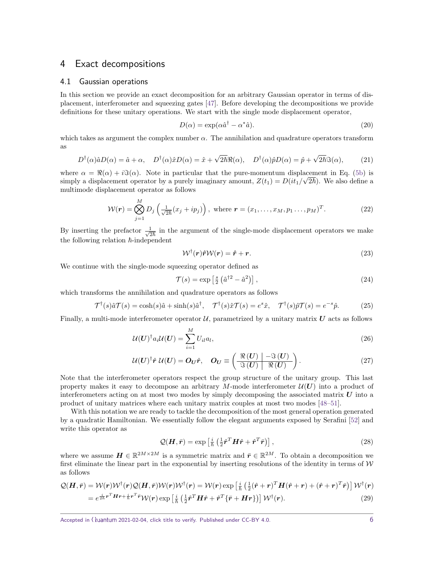## 4 Exact decompositions

#### <span id="page-5-0"></span>4.1 Gaussian operations

In this section we provide an exact decomposition for an arbitrary Gaussian operator in terms of displacement, interferometer and squeezing gates [\[47\]](#page-15-11). Before developing the decompositions we provide definitions for these unitary operations. We start with the single mode displacement operator,

<span id="page-5-3"></span>
$$
D(\alpha) = \exp(\alpha \hat{a}^\dagger - \alpha^* \hat{a}).\tag{20}
$$

which takes as argument the complex number  $\alpha$ . The annihilation and quadrature operators transform as

$$
D^{\dagger}(\alpha)\hat{a}D(\alpha) = \hat{a} + \alpha, \quad D^{\dagger}(\alpha)\hat{x}D(\alpha) = \hat{x} + \sqrt{2\hbar}\Re(\alpha), \quad D^{\dagger}(\alpha)\hat{p}D(\alpha) = \hat{p} + \sqrt{2\hbar}\Im(\alpha), \tag{21}
$$

where  $\alpha = \Re(\alpha) + i\Im(\alpha)$ . Note in particular that the pure-momentum displacement in Eq. [\(5b\)](#page-2-1) is simply a displacement operator by a purely imaginary amount,  $Z(t_1) = D(it_1/\sqrt{2\hbar})$ . We also define a multimode displacement operator as follows

$$
\mathcal{W}(\boldsymbol{r}) = \bigotimes_{j=1}^{M} D_j \left( \frac{1}{\sqrt{2\hbar}} (x_j + ip_j) \right), \text{ where } \boldsymbol{r} = (x_1, \dots, x_M, p_1 \dots, p_M)^T. \tag{22}
$$

By inserting the prefactor  $\frac{1}{\sqrt{2\hbar}}$  in the argument of the single-mode displacement operators we make the following relation  $\hbar$ -independent

<span id="page-5-2"></span>
$$
W^{\dagger}(\mathbf{r})\hat{\mathbf{r}}W(\mathbf{r}) = \hat{\mathbf{r}} + \mathbf{r}.\tag{23}
$$

We continue with the single-mode squeezing operator defined as

<span id="page-5-1"></span>
$$
\mathcal{T}(s) = \exp\left[\frac{s}{2}\left(\hat{a}^{\dagger 2} - \hat{a}^2\right)\right],\tag{24}
$$

which transforms the annihilation and quadrature operators as follows

$$
\mathcal{T}^{\dagger}(s)\hat{a}\mathcal{T}(s) = \cosh(s)\hat{a} + \sinh(s)\hat{a}^{\dagger}, \quad \mathcal{T}^{\dagger}(s)\hat{x}\mathcal{T}(s) = e^{s}\hat{x}, \quad \mathcal{T}^{\dagger}(s)\hat{p}\mathcal{T}(s) = e^{-s}\hat{p}.
$$
 (25)

Finally, a multi-mode interferometer operator  $U$ , parametrized by a unitary matrix  $U$  acts as follows

$$
\mathcal{U}(\boldsymbol{U})^{\dagger} a_i \mathcal{U}(\boldsymbol{U}) = \sum_{i=1}^{M} U_{il} a_l,
$$
\n(26)

$$
U(U)^{\dagger} \hat{r} U(U) = O_U \hat{r}, \quad O_U \equiv \left( \frac{\Re(U)}{\Im(U)} \frac{-\Im(U)}{\Re(U)} \right). \tag{27}
$$

Note that the interferometer operators respect the group structure of the unitary group. This last property makes it easy to decompose an arbitrary *M*-mode interferometer  $\mathcal{U}(U)$  into a product of interferometers acting on at most two modes by simply decomposing the associated matrix  $\boldsymbol{U}$  into a product of unitary matrices where each unitary matrix couples at most two modes [\[48–](#page-15-12)[51\]](#page-16-0).

With this notation we are ready to tackle the decomposition of the most general operation generated by a quadratic Hamiltonian. We essentially follow the elegant arguments exposed by Serafini [\[52\]](#page-16-1) and write this operator as

$$
\mathcal{Q}(\boldsymbol{H}, \bar{\boldsymbol{r}}) = \exp\left[\frac{i}{\hbar} \left(\frac{1}{2} \hat{\boldsymbol{r}}^T \boldsymbol{H} \hat{\boldsymbol{r}} + \hat{\boldsymbol{r}}^T \bar{\boldsymbol{r}}\right)\right],\tag{28}
$$

where we assume  $\mathbf{H} \in \mathbb{R}^{2M \times 2M}$  is a symmetric matrix and  $\bar{\mathbf{r}} \in \mathbb{R}^{2M}$ . To obtain a decomposition we first eliminate the linear part in the exponential by inserting resolutions of the identity in terms of  $W$ as follows

$$
\mathcal{Q}(\boldsymbol{H}, \bar{\boldsymbol{r}}) = \mathcal{W}(\boldsymbol{r}) \mathcal{W}^{\dagger}(\boldsymbol{r}) \mathcal{Q}(\boldsymbol{H}, \bar{\boldsymbol{r}}) \mathcal{W}(\boldsymbol{r}) \mathcal{W}^{\dagger}(\boldsymbol{r}) = \mathcal{W}(\boldsymbol{r}) \exp\left[\frac{i}{\hbar} \left(\frac{1}{2} (\hat{\boldsymbol{r}} + \boldsymbol{r})^{T} \boldsymbol{H} (\hat{\boldsymbol{r}} + \boldsymbol{r}) + (\hat{\boldsymbol{r}} + \boldsymbol{r})^{T} \bar{\boldsymbol{r}}\right)\right] \mathcal{W}^{\dagger}(\boldsymbol{r})
$$
  
\n
$$
= e^{\frac{i}{2\hbar} \boldsymbol{r}^{T} \boldsymbol{H} \boldsymbol{r} + \frac{i}{\hbar} \boldsymbol{r}^{T} \bar{\boldsymbol{r}}} \mathcal{W}(\boldsymbol{r}) \exp\left[\frac{i}{\hbar} \left(\frac{1}{2} \hat{\boldsymbol{r}}^{T} \boldsymbol{H} \hat{\boldsymbol{r}} + \hat{\boldsymbol{r}}^{T} \{ \bar{\boldsymbol{r}} + \boldsymbol{H} \boldsymbol{r} \} \right)\right] \mathcal{W}^{\dagger}(\boldsymbol{r}).
$$
\n(29)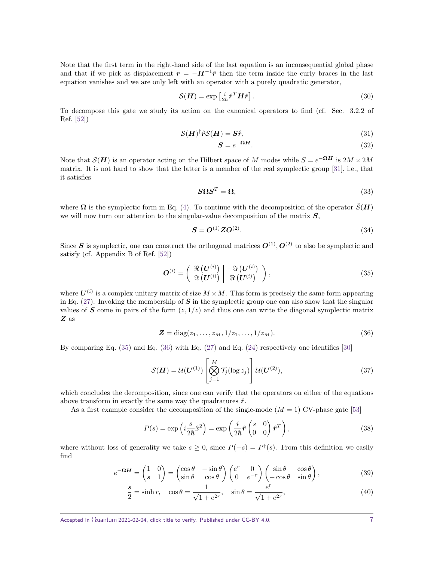Note that the first term in the right-hand side of the last equation is an inconsequential global phase and that if we pick as displacement  $r = -H^{-1}\bar{r}$  then the term inside the curly braces in the last equation vanishes and we are only left with an operator with a purely quadratic generator,

$$
\mathcal{S}(\boldsymbol{H}) = \exp\left[\frac{i}{2\hbar}\hat{\boldsymbol{r}}^T\boldsymbol{H}\hat{\boldsymbol{r}}\right].
$$
\n(30)

To decompose this gate we study its action on the canonical operators to find (cf. Sec. 3.2.2 of Ref. [\[52\]](#page-16-1))

$$
\mathcal{S}(\boldsymbol{H})^{\dagger} \hat{\boldsymbol{r}} \mathcal{S}(\boldsymbol{H}) = \boldsymbol{S} \hat{\boldsymbol{r}},\tag{31}
$$

$$
S = e^{-\Omega H}.\tag{32}
$$

Note that  $\mathcal{S}(\mathbf{H})$  is an operator acting on the Hilbert space of *M* modes while  $S = e^{-\Omega \mathbf{H}}$  is  $2M \times 2M$ matrix. It is not hard to show that the latter is a member of the real symplectic group [\[31\]](#page-14-13), i.e., that it satisfies

$$
S\Omega S^T = \Omega,\tag{33}
$$

where  $\Omega$  is the symplectic form in Eq. [\(4\)](#page-1-2). To continue with the decomposition of the operator  $\hat{S}(\boldsymbol{H})$ we will now turn our attention to the singular-value decomposition of the matrix  $S$ ,

<span id="page-6-1"></span><span id="page-6-0"></span>
$$
\mathbf{S} = \mathbf{O}^{(1)} \mathbf{Z} \mathbf{O}^{(2)}.\tag{34}
$$

Since S is symplectic, one can construct the orthogonal matrices  $O^{(1)}$ ,  $O^{(2)}$  to also be symplectic and satisfy (cf. Appendix B of Ref. [\[52\]](#page-16-1))

$$
\boldsymbol{O}^{(i)} = \left(\frac{\Re\left(\boldsymbol{U}^{(i)}\right) \mid -\Im\left(\boldsymbol{U}^{(i)}\right)}{\Im\left(\boldsymbol{U}^{(i)}\right) \mid \Re\left(\boldsymbol{U}^{(i)}\right)}\right),\tag{35}
$$

where  $U^{(i)}$  is a complex unitary matrix of size  $M \times M$ . This form is precisely the same form appearing in Eq.  $(27)$ . Invoking the membership of S in the symplectic group one can also show that the singular values of S come in pairs of the form  $(z, 1/z)$  and thus one can write the diagonal symplectic matrix Z as

$$
Z = diag(z_1, \dots, z_M, 1/z_1, \dots, 1/z_M).
$$
 (36)

By comparing Eq.  $(35)$  and Eq.  $(36)$  with Eq.  $(27)$  and Eq.  $(24)$  respectively one identifies [\[30\]](#page-14-12)

$$
\mathcal{S}(\boldsymbol{H}) = \mathcal{U}(\boldsymbol{U}^{(1)}) \left[ \bigotimes_{j=1}^{M} \mathcal{T}_j(\log z_j) \right] \mathcal{U}(\boldsymbol{U}^{(2)}), \tag{37}
$$

which concludes the decomposition, since one can verify that the operators on either of the equations above transform in exactly the same way the quadratures  $\hat{r}$ .

As a first example consider the decomposition of the single-mode  $(M = 1)$  CV-phase gate [\[53\]](#page-16-2)

<span id="page-6-2"></span>
$$
P(s) = \exp\left(i\frac{s}{2\hbar}\hat{x}^2\right) = \exp\left(\frac{i}{2\hbar}\hat{r}\begin{pmatrix} s & 0\\ 0 & 0 \end{pmatrix}\hat{r}^T\right),\tag{38}
$$

where without loss of generality we take  $s \geq 0$ , since  $P(-s) = P^{\dagger}(s)$ . From this definition we easily find

$$
e^{-\Omega H} = \begin{pmatrix} 1 & 0 \\ s & 1 \end{pmatrix} = \begin{pmatrix} \cos \theta & -\sin \theta \\ \sin \theta & \cos \theta \end{pmatrix} \begin{pmatrix} e^r & 0 \\ 0 & e^{-r} \end{pmatrix} \begin{pmatrix} \sin \theta & \cos \theta \\ -\cos \theta & \sin \theta \end{pmatrix},
$$
(39)

$$
\frac{s}{2} = \sinh r, \quad \cos \theta = \frac{1}{\sqrt{1 + e^{2r}}}, \quad \sin \theta = \frac{e^r}{\sqrt{1 + e^{2r}}}, \tag{40}
$$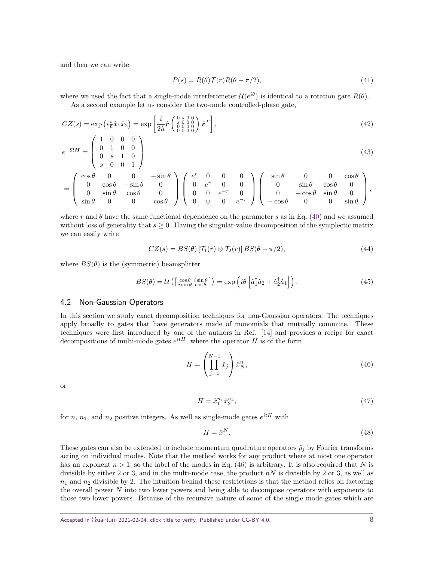and then we can write

$$
P(s) = R(\theta)\mathcal{T}(r)R(\theta - \pi/2),\tag{41}
$$

where we used the fact that a single-mode interferometer  $\mathcal{U}(e^{i\theta})$  is identical to a rotation gate  $R(\theta)$ . As a second example let us consider the two-mode controlled-phase gate,

$$
CZ(s) = \exp\left(i\frac{s}{\hbar}\hat{x}_1\hat{x}_2\right) = \exp\left[\frac{i}{2\hbar}\hat{r}\begin{pmatrix} 0 & s & 0 & 0\\ s & 0 & 0 & 0\\ 0 & 0 & 0 & 0\\ 0 & 0 & 0 & 0 \end{pmatrix}\hat{r}^T\right],\tag{42}
$$

$$
e^{-\Omega H} = \begin{pmatrix} 1 & 0 & 0 & 0 \\ 0 & 1 & 0 & 0 \\ 0 & s & 1 & 0 \\ s & 0 & 0 & 1 \end{pmatrix}
$$
 (43)

$$
= \left(\begin{array}{cccc} \cos\theta & 0 & 0 & -\sin\theta \\ 0 & \cos\theta & -\sin\theta & 0 \\ 0 & \sin\theta & \cos\theta & 0 \\ \sin\theta & 0 & 0 & \cos\theta \end{array}\right) \left(\begin{array}{cccc} e^r & 0 & 0 & 0 \\ 0 & e^r & 0 & 0 \\ 0 & 0 & e^{-r} & 0 \\ 0 & 0 & 0 & e^{-r} \end{array}\right) \left(\begin{array}{cccc} \sin\theta & 0 & 0 & \cos\theta \\ 0 & \sin\theta & \cos\theta & 0 \\ 0 & -\cos\theta & \sin\theta & 0 \\ -\cos\theta & 0 & 0 & \sin\theta \end{array}\right),
$$

where r and  $\theta$  have the same functional dependence on the parameter *s* as in Eq. [\(40\)](#page-6-2) and we assumed without loss of generality that  $s \geq 0$ . Having the singular-value decomposition of the symplectic matrix we can easily write

$$
CZ(s) = BS(\theta) [\mathcal{T}_1(r) \otimes \mathcal{T}_2(r)] BS(\theta - \pi/2), \qquad (44)
$$

where  $BS(\theta)$  is the (symmetric) beamsplitter

$$
BS(\theta) = \mathcal{U}\left(\left[\begin{array}{cc} \cos\theta & i\sin\theta \\ i\sin\theta & \cos\theta \end{array}\right]\right) = \exp\left(i\theta\left[\hat{a}_1^\dagger\hat{a}_2 + \hat{a}_2^\dagger\hat{a}_1\right]\right). \tag{45}
$$

### <span id="page-7-0"></span>4.2 Non-Gaussian Operators

In this section we study exact decomposition techniques for non-Gaussian operators. The techniques apply broadly to gates that have generators made of monomials that mutually commute. These techniques were first introduced by one of the authors in Ref. [\[14\]](#page-14-14) and provides a recipe for exact decompositions of multi-mode gates  $e^{itH}$ , where the operator *H* is of the form

$$
H = \left(\prod_{j=1}^{N-1} \hat{x}_j\right) \hat{x}_N^n, \tag{46}
$$

or

<span id="page-7-1"></span>
$$
H = \hat{x}_1^{n_1} \hat{x}_2^{n_2},\tag{47}
$$

for  $n, n_1$ , and  $n_2$  positive integers. As well as single-mode gates  $e^{itH}$  with

<span id="page-7-2"></span>
$$
H = \hat{x}^N. \tag{48}
$$

These gates can also be extended to include momentum quadrature operators  $\hat{p}_j$  by Fourier transforms acting on individual modes. Note that the method works for any product where at most one operator has an exponent  $n > 1$ , so the label of the modes in Eq. [\(46\)](#page-7-1) is arbitrary. It is also required that *N* is divisible by either 2 or 3, and in the multi-mode case, the product  $nN$  is divisible by 2 or 3, as well as  $n_1$  and  $n_2$  divisible by 2. The intuition behind these restrictions is that the method relies on factoring the overall power *N* into two lower powers and being able to decompose operators with exponents to those two lower powers. Because of the recursive nature of some of the single mode gates which are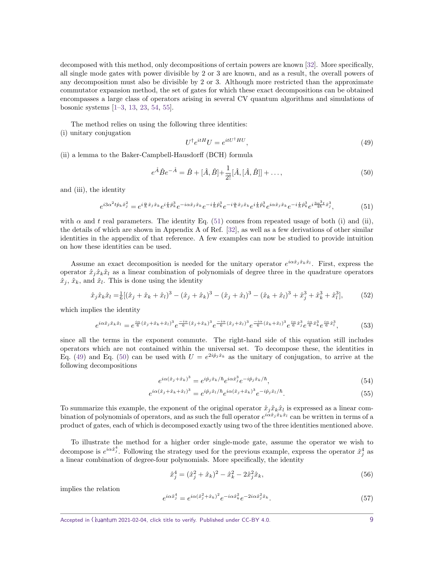decomposed with this method, only decompositions of certain powers are known [\[32\]](#page-14-15). More specifically, all single mode gates with power divisible by 2 or 3 are known, and as a result, the overall powers of any decomposition must also be divisible by 2 or 3. Although more restricted than the approximate commutator expansion method, the set of gates for which these exact decompositions can be obtained encompasses a large class of operators arising in several CV quantum algorithms and simulations of bosonic systems [\[1–](#page-13-0)[3,](#page-13-8) [13,](#page-14-1) [23,](#page-14-7) [54,](#page-16-3) [55\]](#page-16-4).

The method relies on using the following three identities:

(i) unitary conjugation

<span id="page-8-2"></span><span id="page-8-1"></span><span id="page-8-0"></span>
$$
U^{\dagger}e^{itH}U = e^{itU^{\dagger}HU},\tag{49}
$$

(ii) a lemma to the Baker-Campbell-Hausdorff (BCH) formula

$$
e^{\hat{A}}\hat{B}e^{-\hat{A}} = \hat{B} + [\hat{A}, \hat{B}] + \frac{1}{2!}[\hat{A}, [\hat{A}, \hat{B}]] + ...,
$$
\n(50)

and (iii), the identity

$$
e^{i3\alpha^2t\hat{p}_k\hat{x}_j^2} = e^{i\frac{\alpha}{\hbar}\hat{x}_j\hat{x}_k}e^{i\frac{t}{\hbar}\hat{p}_k^3}e^{-i\alpha\hat{x}_j\hat{x}_k}e^{-i\frac{t}{\hbar}\hat{p}_k^3}e^{-i\frac{\alpha}{\hbar}\hat{x}_j\hat{x}_k}e^{i\frac{t}{\hbar}\hat{p}_k^3}e^{i\alpha\hat{x}_j\hat{x}_k}e^{-i\frac{t}{\hbar}\hat{p}_k^3}e^{i\frac{3\alpha^3t}{4\hbar}\hat{x}_j^3},\tag{51}
$$

with  $\alpha$  and  $t$  real parameters. The identity Eq. [\(51\)](#page-8-0) comes from repeated usage of both (i) and (ii), the details of which are shown in Appendix A of Ref. [\[32\]](#page-14-15), as well as a few derivations of other similar identities in the appendix of that reference. A few examples can now be studied to provide intuition on how these identities can be used.

Assume an exact decomposition is needed for the unitary operator  $e^{i\alpha \hat{x}_j \hat{x}_k \hat{x}_l}$ . First, express the operator  $\hat{x}_i \hat{x}_k \hat{x}_l$  as a linear combination of polynomials of degree three in the quadrature operators  $\hat{x}_j$ ,  $\hat{x}_k$ , and  $\hat{x}_l$ . This is done using the identity

$$
\hat{x}_j \hat{x}_k \hat{x}_l = \frac{1}{6} [(\hat{x}_j + \hat{x}_k + \hat{x}_l)^3 - (\hat{x}_j + \hat{x}_k)^3 - (\hat{x}_j + \hat{x}_l)^3 - (\hat{x}_k + \hat{x}_l)^3 + \hat{x}_j^3 + \hat{x}_k^3 + \hat{x}_l^3],\tag{52}
$$

which implies the identity

$$
e^{i\alpha\hat{x}_j\hat{x}_k\hat{x}_l} = e^{\frac{i\alpha}{6}(\hat{x}_j + \hat{x}_k + \hat{x}_l)^3} e^{-\frac{i\alpha}{6}(\hat{x}_j + \hat{x}_k)^3} e^{-\frac{i\alpha}{6}(\hat{x}_j + \hat{x}_l)^3} e^{-\frac{i\alpha}{6}(\hat{x}_k + \hat{x}_l)^3} e^{\frac{i\alpha}{6}\hat{x}_j^3} e^{\frac{i\alpha}{6}\hat{x}_j^3} e^{\frac{i\alpha}{6}\hat{x}_l^3},
$$
(53)

since all the terms in the exponent commute. The right-hand side of this equation still includes operators which are not contained within the universal set. To decompose these, the identities in Eq. [\(49\)](#page-8-1) and Eq. [\(50\)](#page-8-2) can be used with  $U = e^{2i\hat{p}_j\hat{x}_k}$  as the unitary of conjugation, to arrive at the following decompositions

$$
e^{i\alpha(\hat{x}_j + \hat{x}_k)^3} = e^{i\hat{p}_j \hat{x}_k / \hbar} e^{i\alpha \hat{x}_j^3} e^{-i\hat{p}_j \hat{x}_k / \hbar}, \tag{54}
$$

$$
e^{i\alpha(\hat{x}_j + \hat{x}_k + \hat{x}_l)^3} = e^{i\hat{p}_j\hat{x}_l/\hbar}e^{i\alpha(\hat{x}_j + \hat{x}_k)^3}e^{-i\hat{p}_j\hat{x}_l/\hbar}.\tag{55}
$$

To summarize this example, the exponent of the original operator  $\hat{x}_j \hat{x}_k \hat{x}_l$  is expressed as a linear combination of polynomials of operators, and as such the full operator  $e^{i\alpha\hat{x}_j\hat{x}_k\hat{x}_l}$  can be written in terms of a product of gates, each of which is decomposed exactly using two of the three identities mentioned above.

To illustrate the method for a higher order single-mode gate, assume the operator we wish to decompose is  $e^{i\alpha \hat{x}_{j}^{4}}$ . Following the strategy used for the previous example, express the operator  $\hat{x}_{j}^{4}$  as a linear combination of degree-four polynomials. More specifically, the identity

$$
\hat{x}_j^4 = (\hat{x}_j^2 + \hat{x}_k)^2 - \hat{x}_k^2 - 2\hat{x}_j^2\hat{x}_k,\tag{56}
$$

implies the relation

$$
e^{i\alpha \hat{x}_j^4} = e^{i\alpha (\hat{x}_j^2 + \hat{x}_k)^2} e^{-i\alpha \hat{x}_k^2} e^{-2i\alpha \hat{x}_j^2 \hat{x}_k}.
$$
\n(57)

Accepted in  $\langle \rangle$ uantum 2021-02-04, click title to verify. Published under CC-BY 4.0. 9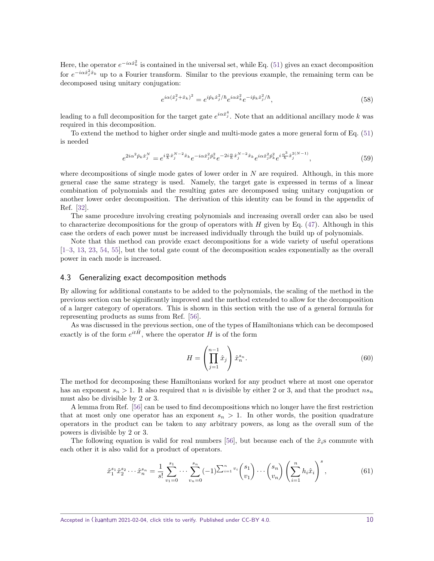Here, the operator  $e^{-i\alpha x_k^2}$  is contained in the universal set, while Eq. [\(51\)](#page-8-0) gives an exact decomposition for  $e^{-i\alpha x_j^2 \hat{x}_k}$  up to a Fourier transform. Similar to the previous example, the remaining term can be decomposed using unitary conjugation:

$$
e^{i\alpha(\hat{x}_j^2 + \hat{x}_k)^2} = e^{i\hat{p}_k \hat{x}_j^2/\hbar} e^{i\alpha \hat{x}_k^2} e^{-i\hat{p}_k \hat{x}_j^2/\hbar}, \tag{58}
$$

leading to a full decomposition for the target gate  $e^{i\alpha \hat{x}_j^4}$ . Note that an additional ancillary mode *k* was required in this decomposition.

To extend the method to higher order single and multi-mode gates a more general form of Eq. [\(51\)](#page-8-0) is needed

$$
e^{2i\alpha^2 \hat{p}_k \hat{x}_j^N} = e^{i\frac{\alpha}{\hbar} \hat{x}_j^{N-2} \hat{x}_k} e^{-i\alpha \hat{x}_j^2 \hat{p}_k^2} e^{-2i\frac{\alpha}{\hbar} \hat{x}_j^{N-2} \hat{x}_k} e^{i\alpha \hat{x}_j^2 \hat{p}_k^2} e^{i\frac{\alpha^3}{\hbar} \hat{x}_j^{2(N-1)}},
$$
(59)

where decompositions of single mode gates of lower order in *N* are required. Although, in this more general case the same strategy is used. Namely, the target gate is expressed in terms of a linear combination of polynomials and the resulting gates are decomposed using unitary conjugation or another lower order decomposition. The derivation of this identity can be found in the appendix of Ref. [\[32\]](#page-14-15).

The same procedure involving creating polynomials and increasing overall order can also be used to characterize decompositions for the group of operators with *H* given by Eq. [\(47\)](#page-7-2). Although in this case the orders of each power must be increased individually through the build up of polynomials.

Note that this method can provide exact decompositions for a wide variety of useful operations [\[1–](#page-13-0)[3,](#page-13-8) [13,](#page-14-1) [23,](#page-14-7) [54,](#page-16-3) [55\]](#page-16-4), but the total gate count of the decomposition scales exponentially as the overall power in each mode is increased.

#### <span id="page-9-0"></span>4.3 Generalizing exact decomposition methods

By allowing for additional constants to be added to the polynomials, the scaling of the method in the previous section can be significantly improved and the method extended to allow for the decomposition of a larger category of operators. This is shown in this section with the use of a general formula for representing products as sums from Ref. [\[56\]](#page-16-5).

As was discussed in the previous section, one of the types of Hamiltonians which can be decomposed exactly is of the form  $e^{it\hat{H}}$ , where the operator *H* is of the form

<span id="page-9-1"></span>
$$
H = \left(\prod_{j=1}^{n-1} \hat{x}_j\right) \hat{x}_n^{s_n}.\tag{60}
$$

The method for decomposing these Hamiltonians worked for any product where at most one operator has an exponent  $s_n > 1$ . It also required that *n* is divisible by either 2 or 3, and that the product  $ns_n$ must also be divisible by 2 or 3.

A lemma from Ref. [\[56\]](#page-16-5) can be used to find decompositions which no longer have the first restriction that at most only one operator has an exponent  $s_n > 1$ . In other words, the position quadrature operators in the product can be taken to any arbitrary powers, as long as the overall sum of the powers is divisible by 2 or 3.

The following equation is valid for real numbers [\[56\]](#page-16-5), but because each of the  $\hat{x}_i$ s commute with each other it is also valid for a product of operators.

$$
\hat{x}_1^{s_1} \hat{x}_2^{s_2} \cdots \hat{x}_n^{s_n} = \frac{1}{s!} \sum_{v_1=0}^{s_1} \cdots \sum_{v_n=0}^{s_n} (-1)^{\sum_{i=1}^n v_i} {s_1 \choose v_1} \cdots {s_n \choose v_n} \left( \sum_{i=1}^n h_i \hat{x}_i \right)^s, \tag{61}
$$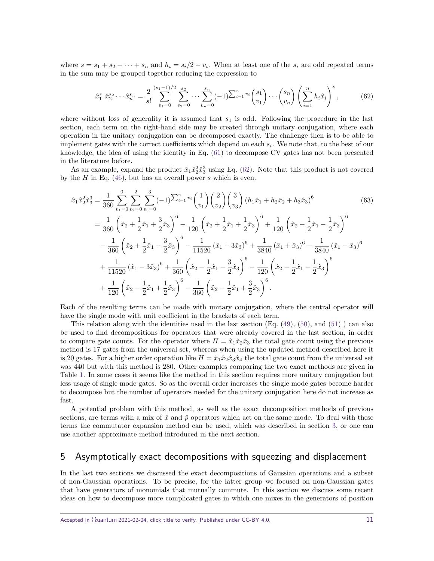where  $s = s_1 + s_2 + \cdots + s_n$  and  $h_i = s_i/2 - v_i$ . When at least one of the  $s_i$  are odd repeated terms in the sum may be grouped together reducing the expression to

<span id="page-10-1"></span>
$$
\hat{x}_1^{s_1} \hat{x}_2^{s_2} \cdots \hat{x}_n^{s_n} = \frac{2}{s!} \sum_{v_1=0}^{(s_1-1)/2} \sum_{v_2=0}^{s_2} \cdots \sum_{v_n=0}^{s_n} (-1)^{\sum_{i=1}^n v_i} {s_1 \choose v_1} \cdots {s_n \choose v_n} \left( \sum_{i=1}^n h_i \hat{x}_i \right)^s, \tag{62}
$$

where without loss of generality it is assumed that  $s_1$  is odd. Following the procedure in the last section, each term on the right-hand side may be created through unitary conjugation, where each operation in the unitary conjugation can be decomposed exactly. The challenge then is to be able to implement gates with the correct coefficients which depend on each *s<sup>i</sup>* . We note that, to the best of our knowledge, the idea of using the identity in Eq. [\(61\)](#page-9-1) to decompose CV gates has not been presented in the literature before.

As an example, expand the product  $\hat{x}_1 \hat{x}_2^2 \hat{x}_3^3$  using Eq. [\(62\)](#page-10-1). Note that this product is not covered by the *H* in Eq. [\(46\)](#page-7-1), but has an overall power *s* which is even.

$$
\hat{x}_{1}\hat{x}_{2}^{2}\hat{x}_{3}^{3} = \frac{1}{360} \sum_{v_{1}=0}^{0} \sum_{v_{2}=0}^{2} \sum_{v_{3}=0}^{3} (-1)^{\sum_{i=1}^{n} v_{i}} {1 \choose v_{1}} {2 \choose v_{2}} {3 \choose v_{3}} (h_{1}\hat{x}_{1} + h_{2}\hat{x}_{2} + h_{3}\hat{x}_{3})^{6}
$$
\n
$$
= \frac{1}{360} \left( \hat{x}_{2} + \frac{1}{2}\hat{x}_{1} + \frac{3}{2}\hat{x}_{3} \right)^{6} - \frac{1}{120} \left( \hat{x}_{2} + \frac{1}{2}\hat{x}_{1} + \frac{1}{2}\hat{x}_{3} \right)^{6} + \frac{1}{120} \left( \hat{x}_{2} + \frac{1}{2}\hat{x}_{1} - \frac{1}{2}\hat{x}_{3} \right)^{6}
$$
\n
$$
- \frac{1}{360} \left( \hat{x}_{2} + \frac{1}{2}\hat{x}_{1} - \frac{3}{2}\hat{x}_{3} \right)^{6} - \frac{1}{11520} \left( \hat{x}_{1} + 3\hat{x}_{3} \right)^{6} + \frac{1}{3840} \left( \hat{x}_{1} + \hat{x}_{3} \right)^{6} - \frac{1}{3840} \left( \hat{x}_{1} - \hat{x}_{3} \right)^{6}
$$
\n
$$
+ \frac{1}{11520} \left( \hat{x}_{1} - 3\hat{x}_{3} \right)^{6} + \frac{1}{360} \left( \hat{x}_{2} - \frac{1}{2}\hat{x}_{1} - \frac{3}{2}\hat{x}_{3} \right)^{6} - \frac{1}{120} \left( \hat{x}_{2} - \frac{1}{2}\hat{x}_{1} - \frac{1}{2}\hat{x}_{3} \right)^{6}
$$
\n
$$
+ \frac{1}{120} \left( \hat{x}_{2} - \frac{1}{2}\hat{x}_{1} + \frac{1}{2}\hat{x}_{3} \right)^{6} - \frac{1}{360} \left( \hat{x}_{2} - \frac{1}{2}\hat{x}_{1} + \frac{3}{2}\hat{x}_{3} \right)^{6}.
$$
\n(63)

Each of the resulting terms can be made with unitary conjugation, where the central operator will have the single mode with unit coefficient in the brackets of each term.

This relation along with the identities used in the last section  $(Eq. (49), (50),$  $(Eq. (49), (50),$  $(Eq. (49), (50),$  $(Eq. (49), (50),$  $(Eq. (49), (50),$  and  $(51)$ ) can also be used to find decompositions for operators that were already covered in the last section, in order to compare gate counts. For the operator where  $H = \hat{x}_1 \hat{x}_2 \hat{x}_3$  the total gate count using the previous method is 17 gates from the universal set, whereas when using the updated method described here it is 20 gates. For a higher order operation like  $H = \hat{x}_1 \hat{x}_2 \hat{x}_3 \hat{x}_4$  the total gate count from the universal set was 440 but with this method is 280. Other examples comparing the two exact methods are given in Table [1.](#page-11-0) In some cases it seems like the method in this section requires more unitary conjugation but less usage of single mode gates. So as the overall order increases the single mode gates become harder to decompose but the number of operators needed for the unitary conjugation here do not increase as fast.

A potential problem with this method, as well as the exact decomposition methods of previous sections, are terms with a mix of  $\hat{x}$  and  $\hat{p}$  operators which act on the same mode. To deal with these terms the commutator expansion method can be used, which was described in section [3,](#page-3-0) or one can use another approximate method introduced in the next section.

## <span id="page-10-0"></span>5 Asymptotically exact decompositions with squeezing and displacement

In the last two sections we discussed the exact decompositions of Gaussian operations and a subset of non-Gaussian operations. To be precise, for the latter group we focused on non-Gaussian gates that have generators of monomials that mutually commute. In this section we discuss some recent ideas on how to decompose more complicated gates in which one mixes in the generators of position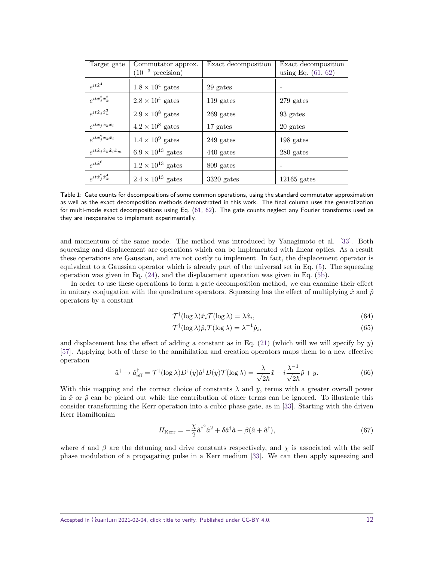<span id="page-11-0"></span>

| Target gate                                  | Commutator approx.            | Exact decomposition | Exact decomposition  |
|----------------------------------------------|-------------------------------|---------------------|----------------------|
|                                              | $(10^{-3} \text{ precision})$ |                     | using Eq. $(61, 62)$ |
| $e^{it\hat{x}^4}$                            | $1.8 \times 10^4$ gates       | 29 gates            |                      |
| $e^{it\hat{x}^2_j\hat{x}^2_k}$               | $2.8 \times 10^4$ gates       | 119 gates           | 279 gates            |
| $e^{it\hat{x}_j\hat{x}_k^3}$                 | $2.9 \times 10^8$ gates       | $269$ gates         | 93 gates             |
| $e^{it\hat{x}_j\hat{x}_k\hat{x}_l}$          | $4.2\times10^8$ gates         | 17 gates            | 20 gates             |
| $e^{it\hat{x}_j^2\hat{x}_k\hat{x}_l}$        | $1.4\times10^9$ gates         | $249$ gates         | 198 gates            |
| $e^{it\hat{x}_j\hat{x}_k\hat{x}_l\hat{x}_m}$ | $6.9 \times 10^{13}$ gates    | 440 gates           | 280 gates            |
| $e^{it\hat{x}^6}$                            | $1.2 \times 10^{13}$ gates    | 809 gates           |                      |
| $e^{it\hat{x}^2_j\hat{x}^4_k}$               | $2.4 \times 10^{13}$ gates    | $3320$ gates        | $12165$ gates        |

Table 1: Gate counts for decompositions of some common operations, using the standard commutator approximation as well as the exact decomposition methods demonstrated in this work. The final column uses the generalization for multi-mode exact decompositions using Eq. [\(61,](#page-9-1) [62\)](#page-10-1). The gate counts neglect any Fourier transforms used as they are inexpensive to implement experimentally.

and momentum of the same mode. The method was introduced by Yanagimoto et al. [\[33\]](#page-15-0). Both squeezing and displacement are operations which can be implemented with linear optics. As a result these operations are Gaussian, and are not costly to implement. In fact, the displacement operator is equivalent to a Gaussian operator which is already part of the universal set in Eq. [\(5\)](#page-1-1). The squeezing operation was given in Eq. [\(24\)](#page-5-2), and the displacement operation was given in Eq. [\(5b\)](#page-2-1).

In order to use these operations to form a gate decomposition method, we can examine their effect in unitary conjugation with the quadrature operators. Squeezing has the effect of multiplying  $\hat{x}$  and  $\hat{p}$ operators by a constant

$$
\mathcal{T}^{\dagger}(\log \lambda)\hat{x}_i \mathcal{T}(\log \lambda) = \lambda \hat{x}_i,\tag{64}
$$

$$
\mathcal{T}^{\dagger}(\log \lambda)\hat{p}_i \mathcal{T}(\log \lambda) = \lambda^{-1}\hat{p}_i,\tag{65}
$$

and displacement has the effect of adding a constant as in Eq.  $(21)$  (which will we will specify by *y*) [\[57\]](#page-16-6). Applying both of these to the annihilation and creation operators maps them to a new effective operation

$$
\hat{a}^{\dagger} \to \hat{a}_{\text{eff}}^{\dagger} = \mathcal{T}^{\dagger} (\log \lambda) D^{\dagger} (y) \hat{a}^{\dagger} D(y) \mathcal{T} (\log \lambda) = \frac{\lambda}{\sqrt{2\hbar}} \hat{x} - i \frac{\lambda^{-1}}{\sqrt{2\hbar}} \hat{p} + y. \tag{66}
$$

With this mapping and the correct choice of constants  $\lambda$  and  $y$ , terms with a greater overall power in  $\hat{x}$  or  $\hat{p}$  can be picked out while the contribution of other terms can be ignored. To illustrate this consider transforming the Kerr operation into a cubic phase gate, as in [\[33\]](#page-15-0). Starting with the driven Kerr Hamiltonian

$$
H_{\text{Kerr}} = -\frac{\chi}{2} \hat{a}^{\dagger^2} \hat{a}^2 + \delta \hat{a}^{\dagger} \hat{a} + \beta (\hat{a} + \hat{a}^{\dagger}), \tag{67}
$$

where  $\delta$  and  $\beta$  are the detuning and drive constants respectively, and  $\chi$  is associated with the self phase modulation of a propagating pulse in a Kerr medium [\[33\]](#page-15-0). We can then apply squeezing and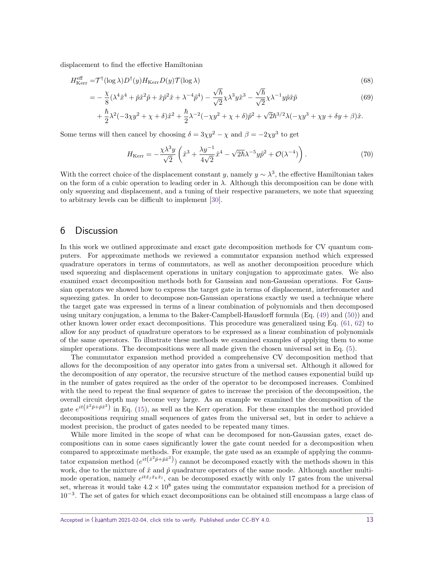displacement to find the effective Hamiltonian

$$
H_{\text{Kerr}}^{\text{eff}} = \mathcal{T}^{\dagger}(\log \lambda)D^{\dagger}(y)H_{\text{Kerr}}D(y)\mathcal{T}(\log \lambda)
$$
\n
$$
= -\frac{\chi}{8}(\lambda^{4}\hat{x}^{4} + \hat{p}\hat{x}^{2}\hat{p} + \hat{x}\hat{p}^{2}\hat{x} + \lambda^{-4}\hat{p}^{4}) - \frac{\sqrt{\hbar}}{\sqrt{2}}\chi\lambda^{3}y\hat{x}^{3} - \frac{\sqrt{\hbar}}{\sqrt{2}}\chi\lambda^{-1}y\hat{p}\hat{x}\hat{p}
$$
\n
$$
+ \frac{\hbar}{2}\lambda^{2}(-3\chi y^{2} + \chi + \delta)\hat{x}^{2} + \frac{\hbar}{2}\lambda^{-2}(-\chi y^{2} + \chi + \delta)\hat{p}^{2} + \sqrt{2}\hbar^{3/2}\lambda(-\chi y^{3} + \chi y + \delta y + \beta)\hat{x}.
$$
\n(68)

Some terms will then cancel by choosing  $\delta = 3\chi y^2 - \chi$  and  $\beta = -2\chi y^3$  to get

$$
H_{\text{Kerr}} = -\frac{\chi\lambda^3 y}{\sqrt{2}} \left( \hat{x}^3 + \frac{\lambda y^{-1}}{4\sqrt{2}} \hat{x}^4 - \sqrt{2\hbar}\lambda^{-5} y \hat{p}^2 + \mathcal{O}(\lambda^{-4}) \right). \tag{70}
$$

With the correct choice of the displacement constant *y*, namely  $y \sim \lambda^3$ , the effective Hamiltonian takes on the form of a cubic operation to leading order in  $\lambda$ . Although this decomposition can be done with only squeezing and displacement, and a tuning of their respective parameters, we note that squeezing to arbitrary levels can be difficult to implement [\[30\]](#page-14-12).

## <span id="page-12-0"></span>6 Discussion

In this work we outlined approximate and exact gate decomposition methods for CV quantum computers. For approximate methods we reviewed a commutator expansion method which expressed quadrature operators in terms of commutators, as well as another decomposition procedure which used squeezing and displacement operations in unitary conjugation to approximate gates. We also examined exact decomposition methods both for Gaussian and non-Gaussian operations. For Gaussian operators we showed how to express the target gate in terms of displacement, interferometer and squeezing gates. In order to decompose non-Gaussian operations exactly we used a technique where the target gate was expressed in terms of a linear combination of polynomials and then decomposed using unitary conjugation, a lemma to the Baker-Campbell-Hausdorff formula (Eq. [\(49\)](#page-8-1) and [\(50\)](#page-8-2)) and other known lower order exact decompositions. This procedure was generalized using Eq. [\(61,](#page-9-1) [62\)](#page-10-1) to allow for any product of quadrature operators to be expressed as a linear combination of polynomials of the same operators. To illustrate these methods we examined examples of applying them to some simpler operations. The decompositions were all made given the chosen universal set in Eq. [\(5\)](#page-1-1).

The commutator expansion method provided a comprehensive CV decomposition method that allows for the decomposition of any operator into gates from a universal set. Although it allowed for the decomposition of any operator, the recursive structure of the method causes exponential build up in the number of gates required as the order of the operator to be decomposed increases. Combined with the need to repeat the final sequence of gates to increase the precision of the decomposition, the overall circuit depth may become very large. As an example we examined the decomposition of the gate  $e^{it(x^2\hat{p}+\hat{p}x^2)}$  in Eq. [\(15\)](#page-4-1), as well as the Kerr operation. For these examples the method provided decompositions requiring small sequences of gates from the universal set, but in order to achieve a modest precision, the product of gates needed to be repeated many times.

While more limited in the scope of what can be decomposed for non-Gaussian gates, exact decompositions can in some cases significantly lower the gate count needed for a decomposition when compared to approximate methods. For example, the gate used as an example of applying the commutator expansion method  $(e^{it(x^2\hat{p}+\hat{p}\hat{x}^2)})$  cannot be decomposed exactly with the methods shown in this work, due to the mixture of  $\hat{x}$  and  $\hat{p}$  quadrature operators of the same mode. Although another multimode operation, namely  $e^{it\hat{x}_j\hat{x}_k\hat{x}_l}$ , can be decomposed exactly with only 17 gates from the universal set, whereas it would take  $4.2 \times 10^8$  gates using the commutator expansion method for a precision of 10<sup>−</sup><sup>3</sup> . The set of gates for which exact decompositions can be obtained still encompass a large class of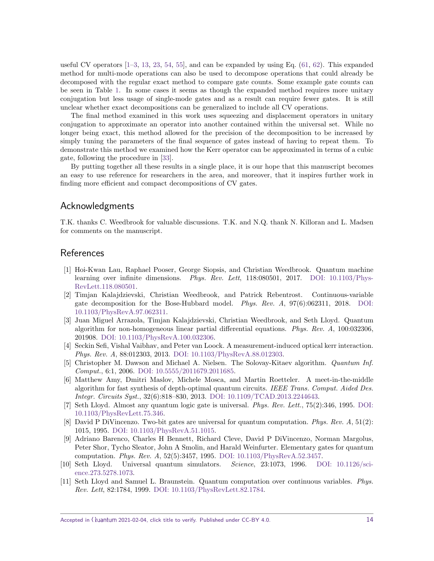useful CV operators  $[1-3, 13, 23, 54, 55]$  $[1-3, 13, 23, 54, 55]$  $[1-3, 13, 23, 54, 55]$  $[1-3, 13, 23, 54, 55]$  $[1-3, 13, 23, 54, 55]$  $[1-3, 13, 23, 54, 55]$  $[1-3, 13, 23, 54, 55]$  $[1-3, 13, 23, 54, 55]$  $[1-3, 13, 23, 54, 55]$  $[1-3, 13, 23, 54, 55]$ , and can be expanded by using Eq.  $(61, 62)$  $(61, 62)$  $(61, 62)$ . This expanded method for multi-mode operations can also be used to decompose operations that could already be decomposed with the regular exact method to compare gate counts. Some example gate counts can be seen in Table [1.](#page-11-0) In some cases it seems as though the expanded method requires more unitary conjugation but less usage of single-mode gates and as a result can require fewer gates. It is still unclear whether exact decompositions can be generalized to include all CV operations.

The final method examined in this work uses squeezing and displacement operators in unitary conjugation to approximate an operator into another contained within the universal set. While no longer being exact, this method allowed for the precision of the decomposition to be increased by simply tuning the parameters of the final sequence of gates instead of having to repeat them. To demonstrate this method we examined how the Kerr operator can be approximated in terms of a cubic gate, following the procedure in [\[33\]](#page-15-0).

By putting together all these results in a single place, it is our hope that this manuscript becomes an easy to use reference for researchers in the area, and moreover, that it inspires further work in finding more efficient and compact decompositions of CV gates.

## Acknowledgments

T.K. thanks C. Weedbrook for valuable discussions. T.K. and N.Q. thank N. Killoran and L. Madsen for comments on the manuscript.

## **References**

- <span id="page-13-0"></span>[1] Hoi-Kwan Lau, Raphael Pooser, George Siopsis, and Christian Weedbrook. Quantum machine learning over infinite dimensions. Phys. Rev. Lett, 118:080501, 2017. [DOI: 10.1103/Phys-](https://doi.org/10.1103/PhysRevLett.118.080501)[RevLett.118.080501.](https://doi.org/10.1103/PhysRevLett.118.080501)
- <span id="page-13-7"></span>[2] Timjan Kalajdzievski, Christian Weedbrook, and Patrick Rebentrost. Continuous-variable gate decomposition for the Bose-Hubbard model. Phys. Rev. A, 97(6):062311, 2018. [DOI:](https://doi.org/10.1103/PhysRevA.97.062311) [10.1103/PhysRevA.97.062311.](https://doi.org/10.1103/PhysRevA.97.062311)
- <span id="page-13-8"></span>[3] Juan Miguel Arrazola, Timjan Kalajdzievski, Christian Weedbrook, and Seth Lloyd. Quantum algorithm for non-homogeneous linear partial differential equations. *Phys. Rev. A*,  $100:032306$ , 201908. [DOI: 10.1103/PhysRevA.100.032306.](https://doi.org/10.1103/PhysRevA.100.032306)
- <span id="page-13-5"></span>[4] Seckin Sefi, Vishal Vaibhav, and Peter van Loock. A measurement-induced optical kerr interaction. Phys. Rev. A, 88:012303, 2013. [DOI: 10.1103/PhysRevA.88.012303.](https://doi.org/10.1103/PhysRevA.88.012303)
- <span id="page-13-4"></span>[5] Christopher M. Dawson and Michael A. Nielsen. The Solovay-Kitaev algorithm. Quantum Inf. Comput., 6:1, 2006. [DOI: 10.5555/2011679.2011685.](https://doi.org/10.5555/2011679.2011685)
- <span id="page-13-1"></span>[6] Matthew Amy, Dmitri Maslov, Michele Mosca, and Martin Roetteler. A meet-in-the-middle algorithm for fast synthesis of depth-optimal quantum circuits. IEEE Trans. Comput. Aided Des. Integr. Circuits Syst., 32(6):818–830, 2013. [DOI: 10.1109/TCAD.2013.2244643.](https://doi.org/10.1109/TCAD.2013.2244643)
- <span id="page-13-2"></span>[7] Seth Lloyd. Almost any quantum logic gate is universal. Phys. Rev. Lett., 75(2):346, 1995. [DOI:](https://doi.org/10.1103/PhysRevLett.75.346) [10.1103/PhysRevLett.75.346.](https://doi.org/10.1103/PhysRevLett.75.346)
- [8] David P DiVincenzo. Two-bit gates are universal for quantum computation. Phys. Rev. A, 51(2): 1015, 1995. [DOI: 10.1103/PhysRevA.51.1015.](https://doi.org/10.1103/PhysRevA.51.1015)
- [9] Adriano Barenco, Charles H Bennett, Richard Cleve, David P DiVincenzo, Norman Margolus, Peter Shor, Tycho Sleator, John A Smolin, and Harald Weinfurter. Elementary gates for quantum computation. Phys. Rev. A, 52(5):3457, 1995. [DOI: 10.1103/PhysRevA.52.3457.](https://doi.org/10.1103/PhysRevA.52.3457)
- <span id="page-13-3"></span>[10] Seth Lloyd. Universal quantum simulators. Science, 23:1073, 1996. [DOI: 10.1126/sci](https://doi.org/10.1126/science.273.5278.1073)[ence.273.5278.1073.](https://doi.org/10.1126/science.273.5278.1073)
- <span id="page-13-6"></span>[11] Seth Lloyd and Samuel L. Braunstein. Quantum computation over continuous variables. Phys. Rev. Lett, 82:1784, 1999. [DOI: 10.1103/PhysRevLett.82.1784.](https://doi.org/10.1103/PhysRevLett.82.1784)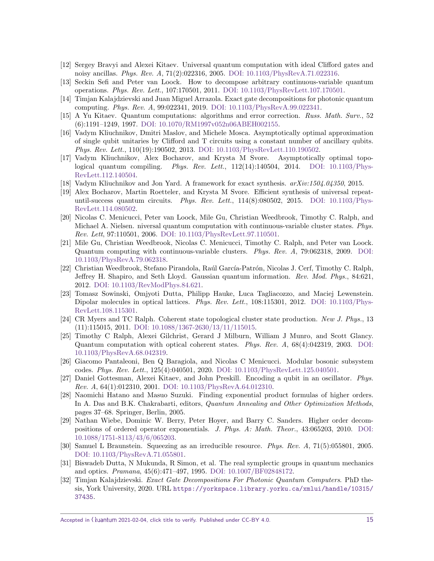- <span id="page-14-0"></span>[12] Sergey Bravyi and Alexei Kitaev. Universal quantum computation with ideal Clifford gates and noisy ancillas. Phys. Rev. A, 71(2):022316, 2005. [DOI: 10.1103/PhysRevA.71.022316.](https://doi.org/10.1103/PhysRevA.71.022316)
- <span id="page-14-1"></span>[13] Seckin Sefi and Peter van Loock. How to decompose arbitrary continuous-variable quantum operations. Phys. Rev. Lett., 107:170501, 2011. [DOI: 10.1103/PhysRevLett.107.170501.](https://doi.org/10.1103/PhysRevLett.107.170501)
- <span id="page-14-14"></span>[14] Timjan Kalajdzievski and Juan Miguel Arrazola. Exact gate decompositions for photonic quantum computing. Phys. Rev. A, 99:022341, 2019. [DOI: 10.1103/PhysRevA.99.022341.](https://doi.org/10.1103/PhysRevA.99.022341)
- <span id="page-14-2"></span>[15] A Yu Kitaev. Quantum computations: algorithms and error correction. Russ. Math. Surv., 52 (6):1191–1249, 1997. [DOI: 10.1070/RM1997v052n06ABEH002155.](https://doi.org/10.1070/RM1997v052n06ABEH002155)
- <span id="page-14-3"></span>[16] Vadym Kliuchnikov, Dmitri Maslov, and Michele Mosca. Asymptotically optimal approximation of single qubit unitaries by Clifford and T circuits using a constant number of ancillary qubits. Phys. Rev. Lett., 110(19):190502, 2013. [DOI: 10.1103/PhysRevLett.110.190502.](https://doi.org/10.1103/PhysRevLett.110.190502)
- [17] Vadym Kliuchnikov, Alex Bocharov, and Krysta M Svore. Asymptotically optimal topological quantum compiling. Phys. Rev. Lett.,  $112(14):140504$ ,  $2014$ . DOI:  $10.1103$ /Phys-[RevLett.112.140504.](https://doi.org/10.1103/PhysRevLett.112.140504)
- [18] Vadym Kliuchnikov and Jon Yard. A framework for exact synthesis.  $arXiv:1504.04350$ , 2015.
- <span id="page-14-4"></span>[19] Alex Bocharov, Martin Roetteler, and Krysta M Svore. Efficient synthesis of universal repeatuntil-success quantum circuits. Phys. Rev. Lett.,  $114(8):080502$ ,  $2015$ . DOI:  $10.1103$ /Phys-[RevLett.114.080502.](https://doi.org/10.1103/PhysRevLett.114.080502)
- <span id="page-14-5"></span>[20] Nicolas C. Menicucci, Peter van Loock, Mile Gu, Christian Weedbrook, Timothy C. Ralph, and Michael A. Nielsen. niversal quantum computation with continuous-variable cluster states. Phys. Rev. Lett, 97:110501, 2006. [DOI: 10.1103/PhysRevLett.97.110501.](https://doi.org/10.1103/PhysRevLett.97.110501)
- [21] Mile Gu, Christian Weedbrook, Nicolas C. Menicucci, Timothy C. Ralph, and Peter van Loock. Quantum computing with continuous-variable clusters. Phys. Rev. A, 79:062318, 2009. [DOI:](https://doi.org/10.1103/PhysRevA.79.062318) [10.1103/PhysRevA.79.062318.](https://doi.org/10.1103/PhysRevA.79.062318)
- <span id="page-14-6"></span>[22] Christian Weedbrook, Stefano Pirandola, Raúl García-Patrón, Nicolas J. Cerf, Timothy C. Ralph, Jeffrey H. Shapiro, and Seth Lloyd. Gaussian quantum information. Rev. Mod. Phys., 84:621, 2012. [DOI: 10.1103/RevModPhys.84.621.](https://doi.org/10.1103/RevModPhys.84.621)
- <span id="page-14-7"></span>[23] Tomasz Sowinski, Omjyoti Dutta, Philipp Hauke, Luca Tagliacozzo, and Maciej Lewenstein. Dipolar molecules in optical lattices. Phys. Rev. Lett., 108:115301, 2012. [DOI: 10.1103/Phys-](https://doi.org/10.1103/PhysRevLett.108.115301)[RevLett.108.115301.](https://doi.org/10.1103/PhysRevLett.108.115301)
- <span id="page-14-8"></span>[24] CR Myers and TC Ralph. Coherent state topological cluster state production. New J. Phys., 13 (11):115015, 2011. [DOI: 10.1088/1367-2630/13/11/115015.](https://doi.org/10.1088/1367-2630/13/11/115015)
- [25] Timothy C Ralph, Alexei Gilchrist, Gerard J Milburn, William J Munro, and Scott Glancy. Quantum computation with optical coherent states. Phys. Rev. A, 68(4):042319, 2003. [DOI:](https://doi.org/10.1103/PhysRevA.68.042319) [10.1103/PhysRevA.68.042319.](https://doi.org/10.1103/PhysRevA.68.042319)
- [26] Giacomo Pantaleoni, Ben Q Baragiola, and Nicolas C Menicucci. Modular bosonic subsystem codes. Phys. Rev. Lett., 125(4):040501, 2020. [DOI: 10.1103/PhysRevLett.125.040501.](https://doi.org/10.1103/PhysRevLett.125.040501)
- <span id="page-14-9"></span>[27] Daniel Gottesman, Alexei Kitaev, and John Preskill. Encoding a qubit in an oscillator. Phys. Rev. A, 64(1):012310, 2001. [DOI: 10.1103/PhysRevA.64.012310.](https://doi.org/10.1103/PhysRevA.64.012310)
- <span id="page-14-10"></span>[28] Naomichi Hatano and Masuo Suzuki. Finding exponential product formulas of higher orders. In A. Das and B.K. Chakrabarti, editors, Quantum Annealing and Other Optimization Methods, pages 37–68. Springer, Berlin, 2005.
- <span id="page-14-11"></span>[29] Nathan Wiebe, Dominic W. Berry, Peter Hoyer, and Barry C. Sanders. Higher order decompositions of ordered operator exponentials. J. Phys. A: Math. Theor., 43:065203, 2010. [DOI:](https://doi.org/10.1088/1751-8113/43/6/065203) [10.1088/1751-8113/43/6/065203.](https://doi.org/10.1088/1751-8113/43/6/065203)
- <span id="page-14-12"></span>[30] Samuel L Braunstein. Squeezing as an irreducible resource. Phys. Rev. A, 71(5):055801, 2005. [DOI: 10.1103/PhysRevA.71.055801.](https://doi.org/10.1103/PhysRevA.71.055801)
- <span id="page-14-13"></span>[31] Biswadeb Dutta, N Mukunda, R Simon, et al. The real symplectic groups in quantum mechanics and optics. Pramana, 45(6):471–497, 1995. [DOI: 10.1007/BF02848172.](https://doi.org/10.1007/BF02848172)
- <span id="page-14-15"></span>[32] Timjan Kalajdzievski. Exact Gate Decompositions For Photonic Quantum Computers. PhD thesis, York University, 2020. URL [https://yorkspace.library.yorku.ca/xmlui/handle/10315/](https://yorkspace.library.yorku.ca/xmlui/handle/10315/37435) [37435](https://yorkspace.library.yorku.ca/xmlui/handle/10315/37435).

Accepted in ( $\lambda$ uantum 2021-02-04, click title to verify. Published under CC-BY 4.0. 15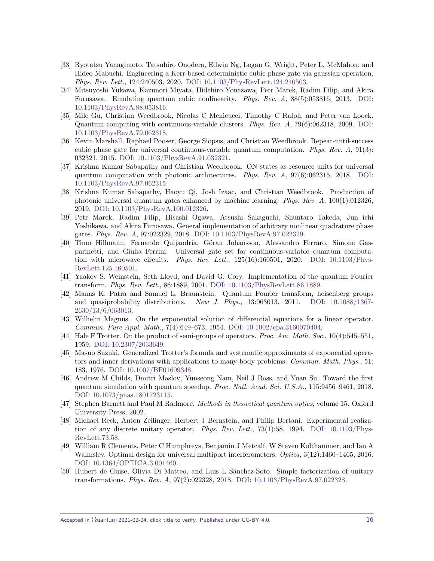- <span id="page-15-0"></span>[33] Ryotatsu Yanagimoto, Tatsuhiro Onodera, Edwin Ng, Logan G. Wright, Peter L. McMahon, and Hideo Mabuchi. Engineering a Kerr-based deterministic cubic phase gate via gaussian operation. Phys. Rev. Lett., 124:240503, 2020. [DOI: 10.1103/PhysRevLett.124.240503.](https://doi.org/10.1103/PhysRevLett.124.240503)
- <span id="page-15-1"></span>[34] Mitsuyoshi Yukawa, Kazunori Miyata, Hidehiro Yonezawa, Petr Marek, Radim Filip, and Akira Furusawa. Emulating quantum cubic nonlinearity. Phys. Rev. A, 88(5):053816, 2013. [DOI:](https://doi.org/10.1103/PhysRevA.88.053816) [10.1103/PhysRevA.88.053816.](https://doi.org/10.1103/PhysRevA.88.053816)
- [35] Mile Gu, Christian Weedbrook, Nicolas C Menicucci, Timothy C Ralph, and Peter van Loock. Quantum computing with continuous-variable clusters. Phys. Rev. A, 79(6):062318, 2009. [DOI:](https://doi.org/10.1103/PhysRevA.79.062318) [10.1103/PhysRevA.79.062318.](https://doi.org/10.1103/PhysRevA.79.062318)
- <span id="page-15-3"></span>[36] Kevin Marshall, Raphael Pooser, George Siopsis, and Christian Weedbrook. Repeat-until-success cubic phase gate for universal continuous-variable quantum computation. Phys. Rev.  $A$ , 91(3): 032321, 2015. [DOI: 10.1103/PhysRevA.91.032321.](https://doi.org/10.1103/PhysRevA.91.032321)
- [37] Krishna Kumar Sabapathy and Christian Weedbrook. ON states as resource units for universal quantum computation with photonic architectures. Phys. Rev.  $A$ , 97(6):062315, 2018. [DOI:](https://doi.org/10.1103/PhysRevA.97.062315) [10.1103/PhysRevA.97.062315.](https://doi.org/10.1103/PhysRevA.97.062315)
- [38] Krishna Kumar Sabapathy, Haoyu Qi, Josh Izaac, and Christian Weedbrook. Production of photonic universal quantum gates enhanced by machine learning. Phys. Rev. A, 100(1):012326, 2019. [DOI: 10.1103/PhysRevA.100.012326.](https://doi.org/10.1103/PhysRevA.100.012326)
- <span id="page-15-2"></span>[39] Petr Marek, Radim Filip, Hisashi Ogawa, Atsushi Sakaguchi, Shuntaro Takeda, Jun ichi Yoshikawa, and Akira Furusawa. General implementation of arbitrary nonlinear quadrature phase gates. Phys. Rev. A, 97:022329, 2018. [DOI: 10.1103/PhysRevA.97.022329.](https://doi.org/10.1103/PhysRevA.97.022329)
- <span id="page-15-4"></span>[40] Timo Hillmann, Fernando Quijandría, Göran Johansson, Alessandro Ferraro, Simone Gasparinetti, and Giulia Ferrini. Universal gate set for continuous-variable quantum computation with microwave circuits. *Phys. Rev. Lett.*,  $125(16):160501$ ,  $2020$ . DOI:  $10.1103$ /Phys-[RevLett.125.160501.](https://doi.org/10.1103/PhysRevLett.125.160501)
- <span id="page-15-5"></span>[41] Yaakov S. Weinstein, Seth Lloyd, and David G. Cory. Implementation of the quantum Fourier transform. Phys. Rev. Lett., 86:1889, 2001. [DOI: 10.1103/PhysRevLett.86.1889.](https://doi.org/10.1103/PhysRevLett.86.1889)
- <span id="page-15-6"></span>[42] Manas K. Patra and Samuel L. Braunstein. Quantum Fourier transform, heisenberg groups and quasiprobability distributions. New J. Phys., 13:063013, 2011. [DOI: 10.1088/1367-](https://doi.org/10.1088/1367-2630/13/6/063013) [2630/13/6/063013.](https://doi.org/10.1088/1367-2630/13/6/063013)
- <span id="page-15-7"></span>[43] Wilhelm Magnus. On the exponential solution of differential equations for a linear operator. Commun. Pure Appl. Math., 7(4):649–673, 1954. [DOI: 10.1002/cpa.3160070404.](https://doi.org/10.1002/cpa.3160070404)
- <span id="page-15-8"></span>[44] Hale F Trotter. On the product of semi-groups of operators. Proc. Am. Math. Soc., 10(4):545–551, 1959. [DOI: 10.2307/2033649.](https://doi.org/10.2307/2033649)
- <span id="page-15-9"></span>[45] Masuo Suzuki. Generalized Trotter's formula and systematic approximants of exponential operators and inner derivations with applications to many-body problems. Commun. Math. Phys., 51: 183, 1976. [DOI: 10.1007/BF01609348.](https://doi.org/10.1007/BF01609348)
- <span id="page-15-10"></span>[46] Andrew M Childs, Dmitri Maslov, Yunseong Nam, Neil J Ross, and Yuan Su. Toward the first quantum simulation with quantum speedup. Proc. Natl. Acad. Sci. U.S.A., 115:9456–9461, 2018. [DOI: 10.1073/pnas.1801723115.](https://doi.org/10.1073/pnas.1801723115)
- <span id="page-15-11"></span>[47] Stephen Barnett and Paul M Radmore. Methods in theoretical quantum optics, volume 15. Oxford University Press, 2002.
- <span id="page-15-12"></span>[48] Michael Reck, Anton Zeilinger, Herbert J Bernstein, and Philip Bertani. Experimental realization of any discrete unitary operator. Phys. Rev. Lett.,  $73(1):58$ , 1994. DOI:  $10.1103$ /Phys-[RevLett.73.58.](https://doi.org/10.1103/PhysRevLett.73.58)
- [49] William R Clements, Peter C Humphreys, Benjamin J Metcalf, W Steven Kolthammer, and Ian A Walmsley. Optimal design for universal multiport interferometers. Optica, 3(12):1460–1465, 2016. [DOI: 10.1364/OPTICA.3.001460.](https://doi.org/10.1364/OPTICA.3.001460)
- [50] Hubert de Guise, Olivia Di Matteo, and Luis L Sánchez-Soto. Simple factorization of unitary transformations. Phys. Rev. A, 97(2):022328, 2018. [DOI: 10.1103/PhysRevA.97.022328.](https://doi.org/10.1103/PhysRevA.97.022328)